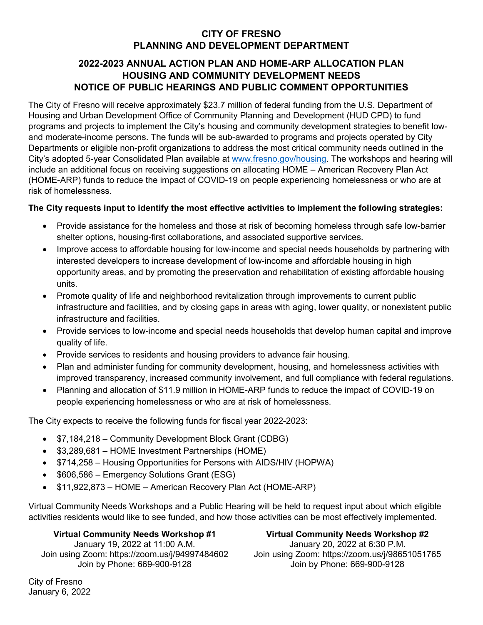# **CITY OF FRESNO PLANNING AND DEVELOPMENT DEPARTMENT**

## **2022-2023 ANNUAL ACTION PLAN AND HOME-ARP ALLOCATION PLAN HOUSING AND COMMUNITY DEVELOPMENT NEEDS NOTICE OF PUBLIC HEARINGS AND PUBLIC COMMENT OPPORTUNITIES**

The City of Fresno will receive approximately \$23.7 million of federal funding from the U.S. Department of Housing and Urban Development Office of Community Planning and Development (HUD CPD) to fund programs and projects to implement the City's housing and community development strategies to benefit lowand moderate-income persons. The funds will be sub-awarded to programs and projects operated by City Departments or eligible non-profit organizations to address the most critical community needs outlined in the City's adopted 5-year Consolidated Plan available at [www.fresno.gov/housing.](file://fresno.gov/data/DEV/Develop/Housing/Services/Common/HOUSING/Annual%20Action%20Plan/2021-2022/Public%20Communications/2020-12%20Public%20Notice/www.fresno.gov/housing) The workshops and hearing will include an additional focus on receiving suggestions on allocating HOME – American Recovery Plan Act (HOME-ARP) funds to reduce the impact of COVID-19 on people experiencing homelessness or who are at risk of homelessness.

### **The City requests input to identify the most effective activities to implement the following strategies:**

- Provide assistance for the homeless and those at risk of becoming homeless through safe low-barrier shelter options, housing-first collaborations, and associated supportive services.
- Improve access to affordable housing for low-income and special needs households by partnering with interested developers to increase development of low-income and affordable housing in high opportunity areas, and by promoting the preservation and rehabilitation of existing affordable housing units.
- Promote quality of life and neighborhood revitalization through improvements to current public infrastructure and facilities, and by closing gaps in areas with aging, lower quality, or nonexistent public infrastructure and facilities.
- Provide services to low‐income and special needs households that develop human capital and improve quality of life.
- Provide services to residents and housing providers to advance fair housing.
- Plan and administer funding for community development, housing, and homelessness activities with improved transparency, increased community involvement, and full compliance with federal regulations.
- Planning and allocation of \$11.9 million in HOME-ARP funds to reduce the impact of COVID-19 on people experiencing homelessness or who are at risk of homelessness.

The City expects to receive the following funds for fiscal year 2022-2023:

- \$7,184,218 Community Development Block Grant (CDBG)
- \$3,289,681 HOME Investment Partnerships (HOME)
- \$714,258 Housing Opportunities for Persons with AIDS/HIV (HOPWA)
- \$606,586 Emergency Solutions Grant (ESG)
- \$11,922,873 HOME American Recovery Plan Act (HOME-ARP)

Virtual Community Needs Workshops and a Public Hearing will be held to request input about which eligible activities residents would like to see funded, and how those activities can be most effectively implemented.

### **Virtual Community Needs Workshop #1**

January 19, 2022 at 11:00 A.M. Join using Zoom: https://zoom.us/j/94997484602 Join by Phone: 669-900-9128

**Virtual Community Needs Workshop #2** January 20, 2022 at 6:30 P.M. Join using Zoom: https://zoom.us/j/98651051765 Join by Phone: 669-900-9128

City of Fresno January 6, 2022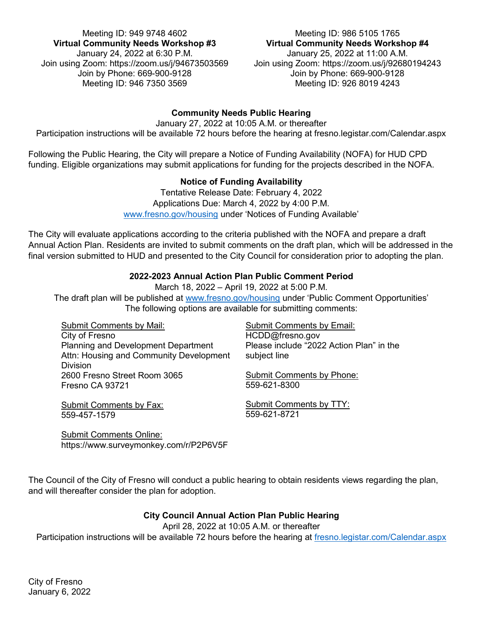Meeting ID: 949 9748 4602 Meeting ID: 986 5105 1765 **Virtual Community Needs Workshop #3** January 24, 2022 at 6:30 P.M. Join using Zoom: https://zoom.us/j/94673503569 Join by Phone: 669-900-9128 Meeting ID: 946 7350 3569

# **Virtual Community Needs Workshop #4**

January 25, 2022 at 11:00 A.M. Join using Zoom: https://zoom.us/j/92680194243 Join by Phone: 669-900-9128 Meeting ID: 926 8019 4243

### **Community Needs Public Hearing**

January 27, 2022 at 10:05 A.M. or thereafter Participation instructions will be available 72 hours before the hearing at fresno.legistar.com/Calendar.aspx

Following the Public Hearing, the City will prepare a Notice of Funding Availability (NOFA) for HUD CPD funding. Eligible organizations may submit applications for funding for the projects described in the NOFA.

### **Notice of Funding Availability**

Tentative Release Date: February 4, 2022 Applications Due: March 4, 2022 by 4:00 P.M. [www.fresno.gov/housing](http://www.fresno.gov/housing) under 'Notices of Funding Available'

The City will evaluate applications according to the criteria published with the NOFA and prepare a draft Annual Action Plan. Residents are invited to submit comments on the draft plan, which will be addressed in the final version submitted to HUD and presented to the City Council for consideration prior to adopting the plan.

### **2022-2023 Annual Action Plan Public Comment Period**

March 18, 2022 – April 19, 2022 at 5:00 P.M.

The draft plan will be published at [www.fresno.gov/housing](http://www.fresno.gov/housing) under 'Public Comment Opportunities' The following options are available for submitting comments:

Submit Comments by Mail: City of Fresno Planning and Development Department Attn: Housing and Community Development Division 2600 Fresno Street Room 3065 Fresno CA 93721

Submit Comments by Fax: 559-457-1579

Submit Comments by Email: HCDD@fresno.gov Please include "2022 Action Plan" in the subject line

Submit Comments by Phone: 559-621-8300

Submit Comments by TTY: 559-621-8721

Submit Comments Online: https://www.surveymonkey.com/r/P2P6V5F

The Council of the City of Fresno will conduct a public hearing to obtain residents views regarding the plan, and will thereafter consider the plan for adoption.

### **City Council Annual Action Plan Public Hearing**

April 28, 2022 at 10:05 A.M. or thereafter Participation instructions will be available 72 hours before the hearing at [fresno.legistar.com/Calendar.aspx](file://fresno.gov/data/DEV/Develop/Housing/Services/Common/HOUSING/Annual%20Action%20Plan/2021-2022/Public%20Communications/2020-12%20Public%20Notice/fresno.legistar.com/Calendar.aspx)

City of Fresno January 6, 2022